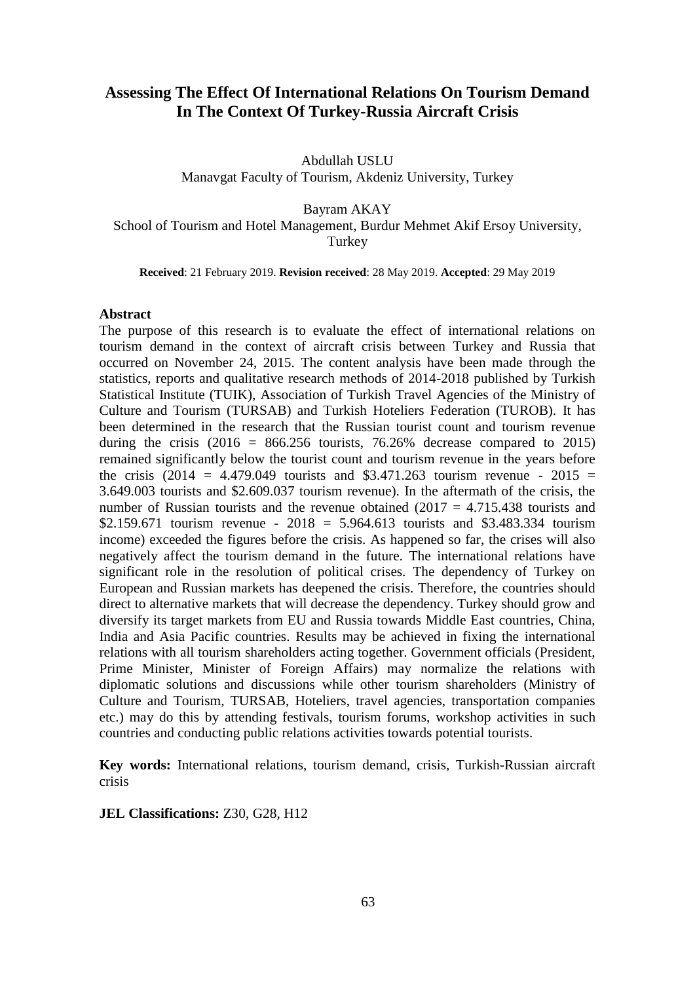# **Assessing The Effect Of International Relations On Tourism Demand In The Context Of Turkey-Russia Aircraft Crisis**

Abdullah USLU Manavgat Faculty of Tourism, Akdeniz University, Turkey

Bayram AKAY

School of Tourism and Hotel Management, Burdur Mehmet Akif Ersoy University, Turkey

**Received**: 21 February 2019. **Revision received**: 28 May 2019. **Accepted**: 29 May 2019

#### **Abstract**

The purpose of this research is to evaluate the effect of international relations on tourism demand in the context of aircraft crisis between Turkey and Russia that occurred on November 24, 2015. The content analysis have been made through the statistics, reports and qualitative research methods of 2014-2018 published by Turkish Statistical Institute (TUIK), Association of Turkish Travel Agencies of the Ministry of Culture and Tourism (TURSAB) and Turkish Hoteliers Federation (TUROB). It has been determined in the research that the Russian tourist count and tourism revenue during the crisis  $(2016 = 866.256$  tourists, 76.26% decrease compared to 2015) remained significantly below the tourist count and tourism revenue in the years before the crisis (2014 = 4.479.049 tourists and \$3.471.263 tourism revenue - 2015 = 3.649.003 tourists and \$2.609.037 tourism revenue). In the aftermath of the crisis, the number of Russian tourists and the revenue obtained  $(2017 = 4.715.438$  tourists and \$2.159.671 tourism revenue -  $2018 = 5.964.613$  tourists and \$3.483.334 tourism income) exceeded the figures before the crisis. As happened so far, the crises will also negatively affect the tourism demand in the future. The international relations have significant role in the resolution of political crises. The dependency of Turkey on European and Russian markets has deepened the crisis. Therefore, the countries should direct to alternative markets that will decrease the dependency. Turkey should grow and diversify its target markets from EU and Russia towards Middle East countries, China, India and Asia Pacific countries. Results may be achieved in fixing the international relations with all tourism shareholders acting together. Government officials (President, Prime Minister, Minister of Foreign Affairs) may normalize the relations with diplomatic solutions and discussions while other tourism shareholders (Ministry of Culture and Tourism, TURSAB, Hoteliers, travel agencies, transportation companies etc.) may do this by attending festivals, tourism forums, workshop activities in such countries and conducting public relations activities towards potential tourists.

**Key words:** International relations, tourism demand, crisis, Turkish-Russian aircraft crisis

**JEL Classifications:** Z30, G28, H12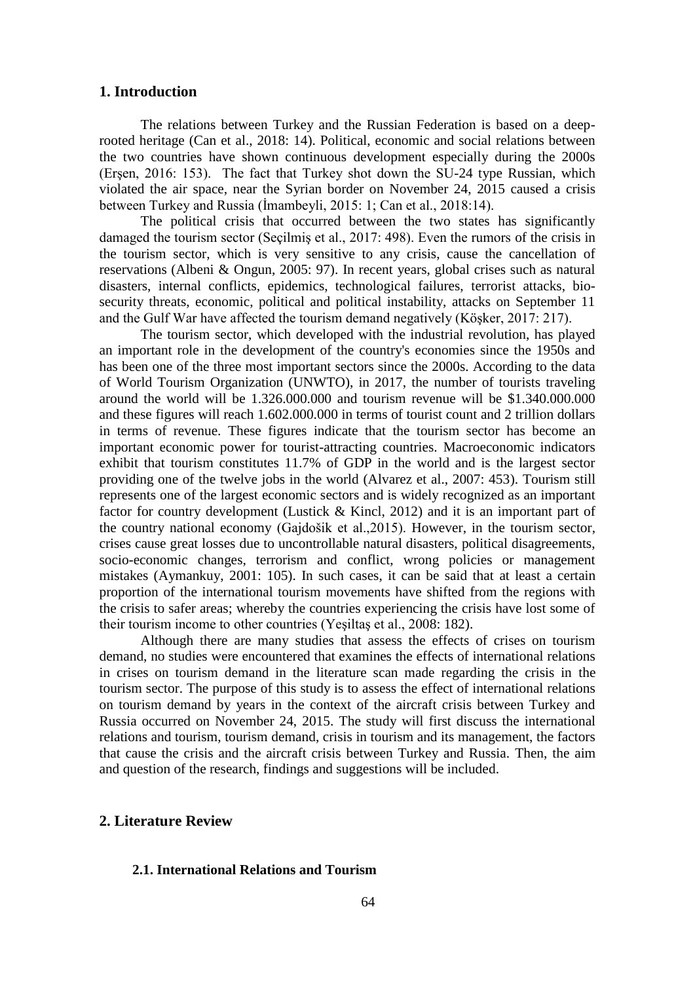#### **1. Introduction**

The relations between Turkey and the Russian Federation is based on a deeprooted heritage (Can et al., 2018: 14). Political, economic and social relations between the two countries have shown continuous development especially during the 2000s (Erşen, 2016: 153). The fact that Turkey shot down the SU-24 type Russian, which violated the air space, near the Syrian border on November 24, 2015 caused a crisis between Turkey and Russia (İmambeyli, 2015: 1; Can et al., 2018:14).

The political crisis that occurred between the two states has significantly damaged the tourism sector (Seçilmiş et al., 2017: 498). Even the rumors of the crisis in the tourism sector, which is very sensitive to any crisis, cause the cancellation of reservations (Albeni & Ongun, 2005: 97). In recent years, global crises such as natural disasters, internal conflicts, epidemics, technological failures, terrorist attacks, biosecurity threats, economic, political and political instability, attacks on September 11 and the Gulf War have affected the tourism demand negatively (Köşker, 2017: 217).

The tourism sector, which developed with the industrial revolution, has played an important role in the development of the country's economies since the 1950s and has been one of the three most important sectors since the 2000s. According to the data of World Tourism Organization (UNWTO), in 2017, the number of tourists traveling around the world will be 1.326.000.000 and tourism revenue will be \$1.340.000.000 and these figures will reach 1.602.000.000 in terms of tourist count and 2 trillion dollars in terms of revenue. These figures indicate that the tourism sector has become an important economic power for tourist-attracting countries. Macroeconomic indicators exhibit that tourism constitutes 11.7% of GDP in the world and is the largest sector providing one of the twelve jobs in the world (Alvarez et al., 2007: 453). Tourism still represents one of the largest economic sectors and is widely recognized as an important factor for country development (Lustick & Kincl, 2012) and it is an important part of the country national economy (Gajdošik et al.,2015). However, in the tourism sector, crises cause great losses due to uncontrollable natural disasters, political disagreements, socio-economic changes, terrorism and conflict, wrong policies or management mistakes (Aymankuy, 2001: 105). In such cases, it can be said that at least a certain proportion of the international tourism movements have shifted from the regions with the crisis to safer areas; whereby the countries experiencing the crisis have lost some of their tourism income to other countries (Yeşiltaş et al., 2008: 182).

Although there are many studies that assess the effects of crises on tourism demand, no studies were encountered that examines the effects of international relations in crises on tourism demand in the literature scan made regarding the crisis in the tourism sector. The purpose of this study is to assess the effect of international relations on tourism demand by years in the context of the aircraft crisis between Turkey and Russia occurred on November 24, 2015. The study will first discuss the international relations and tourism, tourism demand, crisis in tourism and its management, the factors that cause the crisis and the aircraft crisis between Turkey and Russia. Then, the aim and question of the research, findings and suggestions will be included.

# **2. [Literature Review](https://tureng.com/tr/turkce-ingilizce/literature%20review)**

#### **2.1. International Relations and Tourism**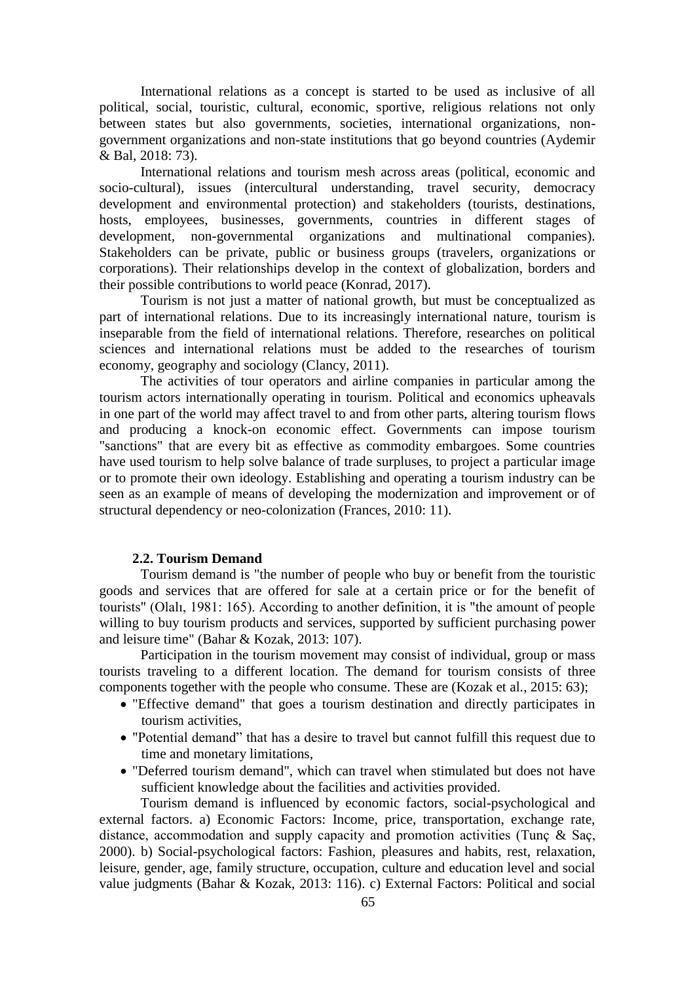International relations as a concept is started to be used as inclusive of all political, social, touristic, cultural, economic, sportive, religious relations not only between states but also governments, societies, international organizations, nongovernment organizations and non-state institutions that go beyond countries (Aydemir & Bal, 2018: 73).

International relations and tourism mesh across areas (political, economic and socio-cultural), issues (intercultural understanding, travel security, democracy development and environmental protection) and stakeholders (tourists, destinations, hosts, employees, businesses, governments, countries in different stages of development, non-governmental organizations and multinational companies). Stakeholders can be private, public or business groups (travelers, organizations or corporations). Their relationships develop in the context of globalization, borders and their possible contributions to world peace (Konrad, 2017).

Tourism is not just a matter of national growth, but must be conceptualized as part of international relations. Due to its increasingly international nature, tourism is inseparable from the field of international relations. Therefore, researches on political sciences and international relations must be added to the researches of tourism economy, geography and sociology (Clancy, 2011).

The activities of tour operators and airline companies in particular among the tourism actors internationally operating in tourism. Political and economics upheavals in one part of the world may affect travel to and from other parts, altering tourism flows and producing a knock-on economic effect. Governments can impose tourism "sanctions" that are every bit as effective as commodity embargoes. Some countries have used tourism to help solve balance of trade surpluses, to project a particular image or to promote their own ideology. Establishing and operating a tourism industry can be seen as an example of means of developing the modernization and improvement or of structural dependency or neo-colonization (Frances, 2010: 11).

# **2.2. Tourism Demand**

Tourism demand is "the number of people who buy or benefit from the touristic goods and services that are offered for sale at a certain price or for the benefit of tourists" (Olalı, 1981: 165). According to another definition, it is "the amount of people willing to buy tourism products and services, supported by sufficient purchasing power and leisure time" (Bahar & Kozak, 2013: 107).

Participation in the tourism movement may consist of individual, group or mass tourists traveling to a different location. The demand for tourism consists of three components together with the people who consume. These are (Kozak et al., 2015: 63);

- "Effective demand" that goes a tourism destination and directly participates in tourism activities,
- "Potential demand" that has a desire to travel but cannot fulfill this request due to time and monetary limitations,
- "Deferred tourism demand", which can travel when stimulated but does not have sufficient knowledge about the facilities and activities provided.

Tourism demand is influenced by economic factors, social-psychological and external factors. a) Economic Factors: Income, price, transportation, exchange rate, distance, accommodation and supply capacity and promotion activities (Tunç & Saç, 2000). b) Social-psychological factors: Fashion, pleasures and habits, rest, relaxation, leisure, gender, age, family structure, occupation, culture and education level and social value judgments (Bahar & Kozak, 2013: 116). c) External Factors: Political and social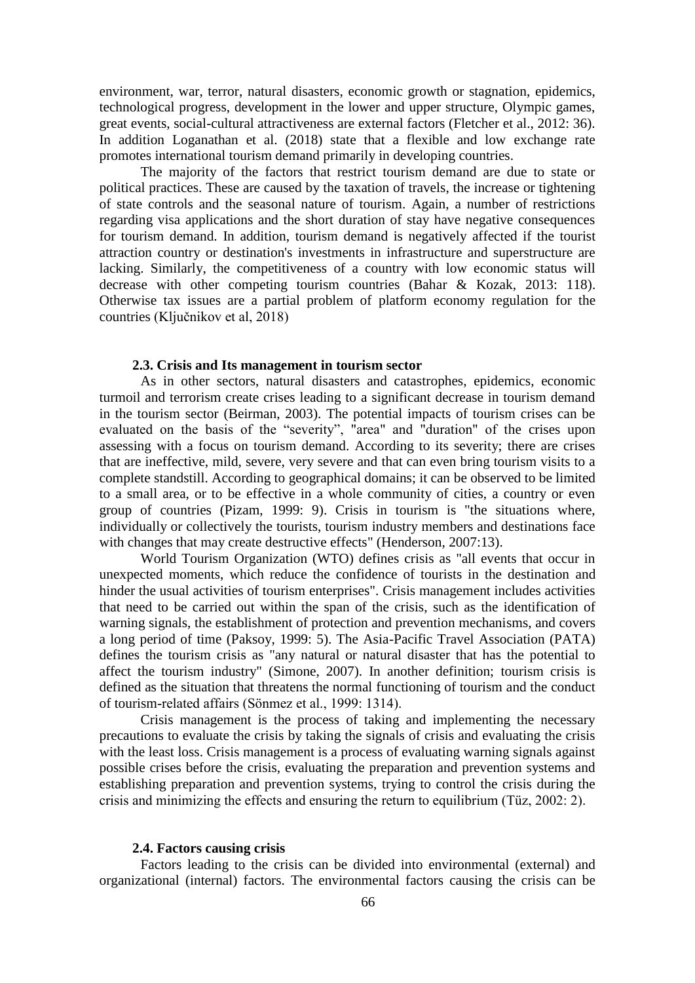environment, war, terror, natural disasters, economic growth or stagnation, epidemics, technological progress, development in the lower and upper structure, Olympic games, great events, social-cultural attractiveness are external factors (Fletcher et al., 2012: 36). In addition Loganathan et al. (2018) state that a flexible and low exchange rate promotes international tourism demand primarily in developing countries.

The majority of the factors that restrict tourism demand are due to state or political practices. These are caused by the taxation of travels, the increase or tightening of state controls and the seasonal nature of tourism. Again, a number of restrictions regarding visa applications and the short duration of stay have negative consequences for tourism demand. In addition, tourism demand is negatively affected if the tourist attraction country or destination's investments in infrastructure and superstructure are lacking. Similarly, the competitiveness of a country with low economic status will decrease with other competing tourism countries (Bahar & Kozak, 2013: 118). Otherwise tax issues are a partial problem of platform economy regulation for the countries (Ključnikov et al, 2018)

#### **2.3. Crisis and Its management in tourism sector**

As in other sectors, natural disasters and catastrophes, epidemics, economic turmoil and terrorism create crises leading to a significant decrease in tourism demand in the tourism sector (Beirman, 2003). The potential impacts of tourism crises can be evaluated on the basis of the "severity", "area" and "duration" of the crises upon assessing with a focus on tourism demand. According to its severity; there are crises that are ineffective, mild, severe, very severe and that can even bring tourism visits to a complete standstill. According to geographical domains; it can be observed to be limited to a small area, or to be effective in a whole community of cities, a country or even group of countries (Pizam, 1999: 9). Crisis in tourism is "the situations where, individually or collectively the tourists, tourism industry members and destinations face with changes that may create destructive effects" (Henderson, 2007:13).

World Tourism Organization (WTO) defines crisis as "all events that occur in unexpected moments, which reduce the confidence of tourists in the destination and hinder the usual activities of tourism enterprises". Crisis management includes activities that need to be carried out within the span of the crisis, such as the identification of warning signals, the establishment of protection and prevention mechanisms, and covers a long period of time (Paksoy, 1999: 5). The Asia-Pacific Travel Association (PATA) defines the tourism crisis as "any natural or natural disaster that has the potential to affect the tourism industry" (Simone, 2007). In another definition; tourism crisis is defined as the situation that threatens the normal functioning of tourism and the conduct of tourism-related affairs (Sönmez et al., 1999: 1314).

Crisis management is the process of taking and implementing the necessary precautions to evaluate the crisis by taking the signals of crisis and evaluating the crisis with the least loss. Crisis management is a process of evaluating warning signals against possible crises before the crisis, evaluating the preparation and prevention systems and establishing preparation and prevention systems, trying to control the crisis during the crisis and minimizing the effects and ensuring the return to equilibrium (Tüz, 2002: 2).

#### **2.4. Factors causing crisis**

Factors leading to the crisis can be divided into environmental (external) and organizational (internal) factors. The environmental factors causing the crisis can be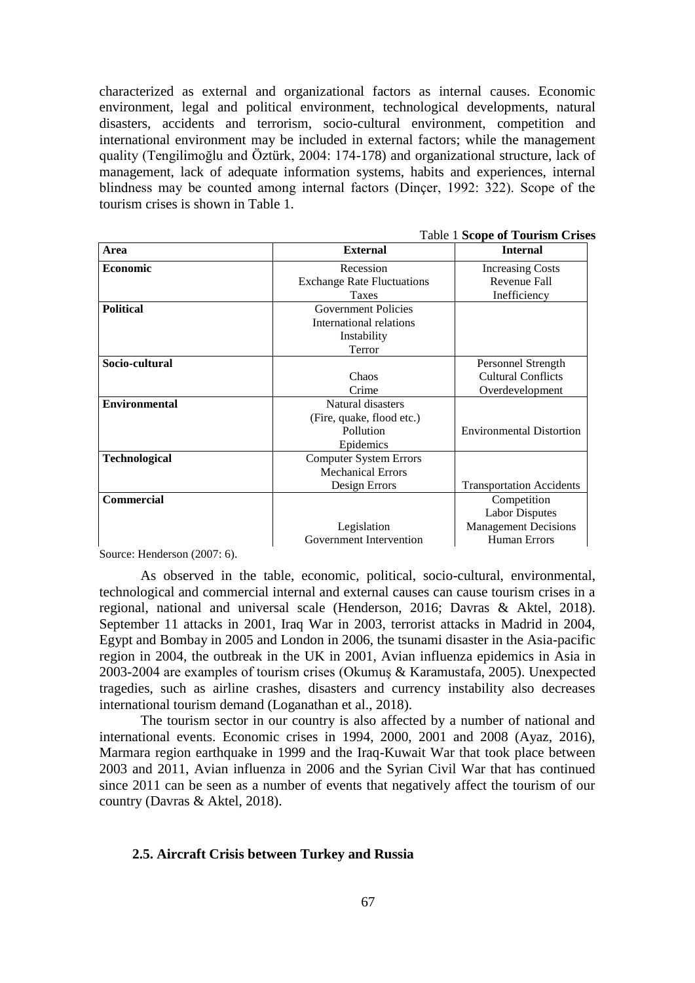characterized as external and organizational factors as internal causes. Economic environment, legal and political environment, technological developments, natural disasters, accidents and terrorism, socio-cultural environment, competition and international environment may be included in external factors; while the management quality (Tengilimoğlu and Öztürk, 2004: 174-178) and organizational structure, lack of management, lack of adequate information systems, habits and experiences, internal blindness may be counted among internal factors (Dinçer, 1992: 322). Scope of the tourism crises is shown in Table 1.

|                      | <b>Table 1 Scope of Tourism Crises</b> |                                 |  |  |  |
|----------------------|----------------------------------------|---------------------------------|--|--|--|
| Area                 | <b>External</b>                        | <b>Internal</b>                 |  |  |  |
| Economic             | Recession                              | <b>Increasing Costs</b>         |  |  |  |
|                      | <b>Exchange Rate Fluctuations</b>      | Revenue Fall                    |  |  |  |
|                      | Taxes                                  | Inefficiency                    |  |  |  |
| <b>Political</b>     | <b>Government Policies</b>             |                                 |  |  |  |
|                      | International relations                |                                 |  |  |  |
|                      | Instability                            |                                 |  |  |  |
|                      | Terror                                 |                                 |  |  |  |
| Socio-cultural       |                                        | Personnel Strength              |  |  |  |
|                      | Chaos                                  | <b>Cultural Conflicts</b>       |  |  |  |
|                      | Crime                                  | Overdevelopment                 |  |  |  |
| <b>Environmental</b> | Natural disasters                      |                                 |  |  |  |
|                      | (Fire, quake, flood etc.)              |                                 |  |  |  |
|                      | Pollution                              | <b>Environmental Distortion</b> |  |  |  |
|                      | Epidemics                              |                                 |  |  |  |
| <b>Technological</b> | <b>Computer System Errors</b>          |                                 |  |  |  |
|                      | <b>Mechanical Errors</b>               |                                 |  |  |  |
|                      | Design Errors                          | <b>Transportation Accidents</b> |  |  |  |
| <b>Commercial</b>    |                                        | Competition                     |  |  |  |
|                      |                                        | <b>Labor Disputes</b>           |  |  |  |
|                      | Legislation                            | <b>Management Decisions</b>     |  |  |  |
|                      | Government Intervention                | <b>Human Errors</b>             |  |  |  |

Source: Henderson (2007: 6).

As observed in the table, economic, political, socio-cultural, environmental, technological and commercial internal and external causes can cause tourism crises in a regional, national and universal scale (Henderson, 2016; Davras & Aktel, 2018). September 11 attacks in 2001, Iraq War in 2003, terrorist attacks in Madrid in 2004, Egypt and Bombay in 2005 and London in 2006, the tsunami disaster in the Asia-pacific region in 2004, the outbreak in the UK in 2001, Avian influenza epidemics in Asia in 2003-2004 are examples of tourism crises (Okumuş & Karamustafa, 2005). Unexpected tragedies, such as airline crashes, disasters and currency instability also decreases international tourism demand (Loganathan et al., 2018).

The tourism sector in our country is also affected by a number of national and international events. Economic crises in 1994, 2000, 2001 and 2008 (Ayaz, 2016), Marmara region earthquake in 1999 and the Iraq-Kuwait War that took place between 2003 and 2011, Avian influenza in 2006 and the Syrian Civil War that has continued since 2011 can be seen as a number of events that negatively affect the tourism of our country (Davras & Aktel, 2018).

#### **2.5. Aircraft Crisis between Turkey and Russia**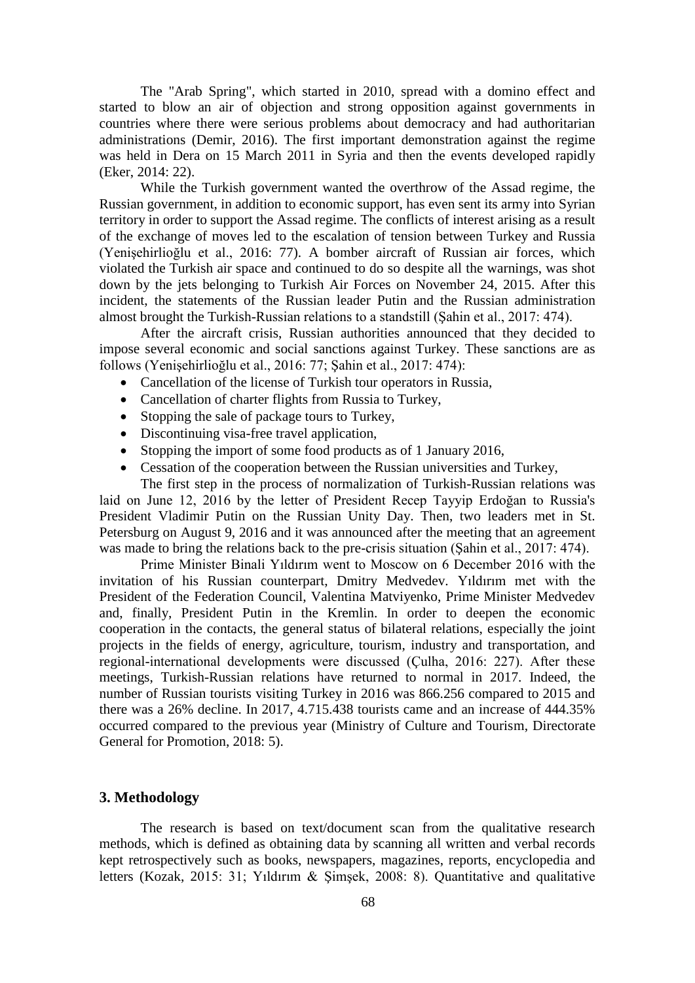The "Arab Spring", which started in 2010, spread with a domino effect and started to blow an air of objection and strong opposition against governments in countries where there were serious problems about democracy and had authoritarian administrations (Demir, 2016). The first important demonstration against the regime was held in Dera on 15 March 2011 in Syria and then the events developed rapidly (Eker, 2014: 22).

While the Turkish government wanted the overthrow of the Assad regime, the Russian government, in addition to economic support, has even sent its army into Syrian territory in order to support the Assad regime. The conflicts of interest arising as a result of the exchange of moves led to the escalation of tension between Turkey and Russia (Yenişehirlioğlu et al., 2016: 77). A bomber aircraft of Russian air forces, which violated the Turkish air space and continued to do so despite all the warnings, was shot down by the jets belonging to Turkish Air Forces on November 24, 2015. After this incident, the statements of the Russian leader Putin and the Russian administration almost brought the Turkish-Russian relations to a standstill (Şahin et al., 2017: 474).

After the aircraft crisis, Russian authorities announced that they decided to impose several economic and social sanctions against Turkey. These sanctions are as follows (Yenişehirlioğlu et al., 2016: 77; Şahin et al., 2017: 474):

- Cancellation of the license of Turkish tour operators in Russia,
- Cancellation of charter flights from Russia to Turkey,
- Stopping the sale of package tours to Turkey,
- Discontinuing visa-free travel application,
- Stopping the import of some food products as of 1 January 2016,
- Cessation of the cooperation between the Russian universities and Turkey, The first step in the process of normalization of Turkish-Russian relations was

laid on June 12, 2016 by the letter of President Recep Tayyip Erdoğan to Russia's President Vladimir Putin on the Russian Unity Day. Then, two leaders met in St. Petersburg on August 9, 2016 and it was announced after the meeting that an agreement was made to bring the relations back to the pre-crisis situation (Şahin et al., 2017: 474).

Prime Minister Binali Yıldırım went to Moscow on 6 December 2016 with the invitation of his Russian counterpart, Dmitry Medvedev. Yıldırım met with the President of the Federation Council, Valentina Matviyenko, Prime Minister Medvedev and, finally, President Putin in the Kremlin. In order to deepen the economic cooperation in the contacts, the general status of bilateral relations, especially the joint projects in the fields of energy, agriculture, tourism, industry and transportation, and regional-international developments were discussed (Çulha, 2016: 227). After these meetings, Turkish-Russian relations have returned to normal in 2017. Indeed, the number of Russian tourists visiting Turkey in 2016 was 866.256 compared to 2015 and there was a 26% decline. In 2017, 4.715.438 tourists came and an increase of 444.35% occurred compared to the previous year (Ministry of Culture and Tourism, Directorate General for Promotion, 2018: 5).

#### **3. Methodology**

The research is based on text/document scan from the qualitative research methods, which is defined as obtaining data by scanning all written and verbal records kept retrospectively such as books, newspapers, magazines, reports, encyclopedia and letters (Kozak, 2015: 31; Yıldırım & Şimşek, 2008: 8). Quantitative and qualitative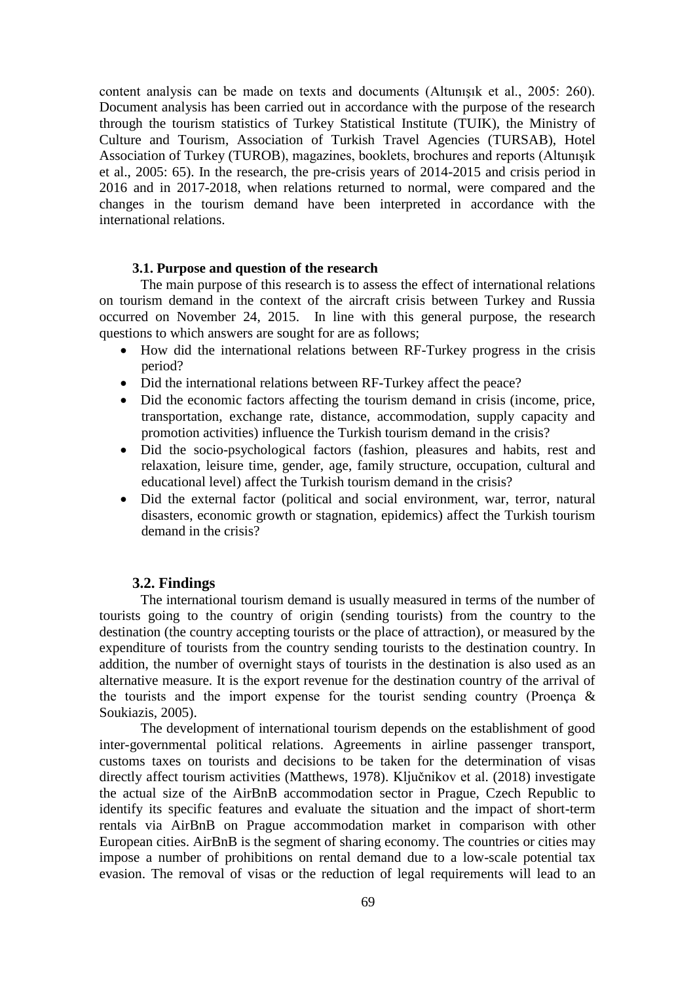content analysis can be made on texts and documents (Altunışık et al., 2005: 260). Document analysis has been carried out in accordance with the purpose of the research through the tourism statistics of Turkey Statistical Institute (TUIK), the Ministry of Culture and Tourism, Association of Turkish Travel Agencies (TURSAB), Hotel Association of Turkey (TUROB), magazines, booklets, brochures and reports (Altunışık et al., 2005: 65). In the research, the pre-crisis years of 2014-2015 and crisis period in 2016 and in 2017-2018, when relations returned to normal, were compared and the changes in the tourism demand have been interpreted in accordance with the international relations.

#### **3.1. Purpose and question of the research**

The main purpose of this research is to assess the effect of international relations on tourism demand in the context of the aircraft crisis between Turkey and Russia occurred on November 24, 2015. In line with this general purpose, the research questions to which answers are sought for are as follows;

- How did the international relations between RF-Turkey progress in the crisis period?
- Did the international relations between RF-Turkey affect the peace?
- Did the economic factors affecting the tourism demand in crisis (income, price, transportation, exchange rate, distance, accommodation, supply capacity and promotion activities) influence the Turkish tourism demand in the crisis?
- Did the socio-psychological factors (fashion, pleasures and habits, rest and relaxation, leisure time, gender, age, family structure, occupation, cultural and educational level) affect the Turkish tourism demand in the crisis?
- Did the external factor (political and social environment, war, terror, natural disasters, economic growth or stagnation, epidemics) affect the Turkish tourism demand in the crisis?

## **3.2. Findings**

The international tourism demand is usually measured in terms of the number of tourists going to the country of origin (sending tourists) from the country to the destination (the country accepting tourists or the place of attraction), or measured by the expenditure of tourists from the country sending tourists to the destination country. In addition, the number of overnight stays of tourists in the destination is also used as an alternative measure. It is the export revenue for the destination country of the arrival of the tourists and the import expense for the tourist sending country (Proença  $\&$ Soukiazis, 2005).

The development of international tourism depends on the establishment of good inter-governmental political relations. Agreements in airline passenger transport, customs taxes on tourists and decisions to be taken for the determination of visas directly affect tourism activities (Matthews, 1978). Ključnikov et al. (2018) investigate the actual size of the AirBnB accommodation sector in Prague, Czech Republic to identify its specific features and evaluate the situation and the impact of short-term rentals via AirBnB on Prague accommodation market in comparison with other European cities. AirBnB is the segment of sharing economy. The countries or cities may impose a number of prohibitions on rental demand due to a low-scale potential tax evasion. The removal of visas or the reduction of legal requirements will lead to an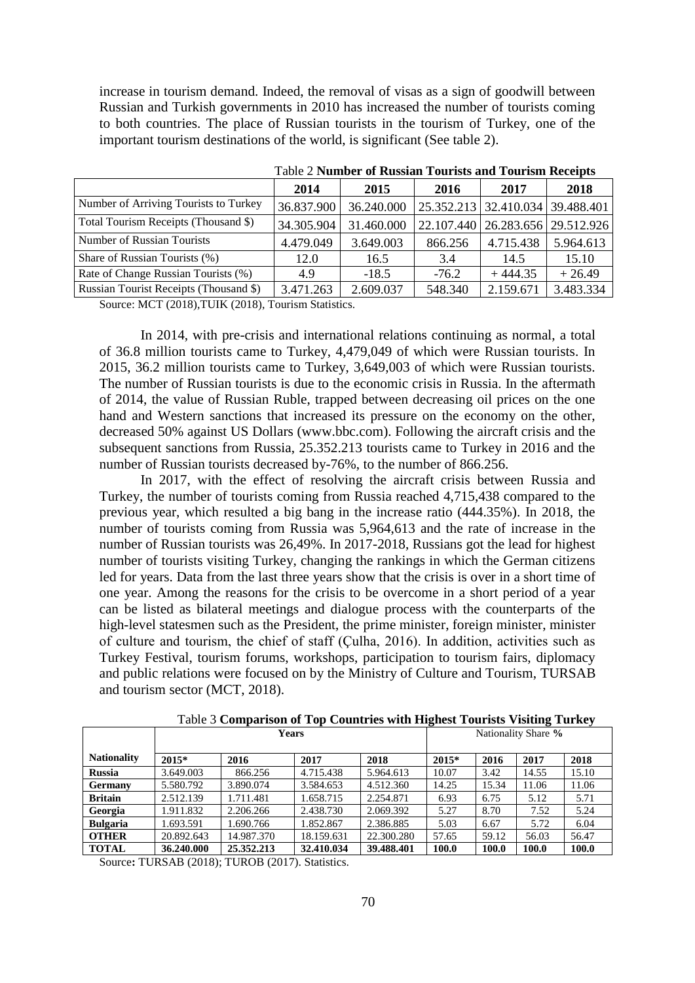increase in tourism demand. Indeed, the removal of visas as a sign of goodwill between Russian and Turkish governments in 2010 has increased the number of tourists coming to both countries. The place of Russian tourists in the tourism of Turkey, one of the important tourism destinations of the world, is significant (See table 2).

|                                        | 2014       | 2015       | 2016    | 2017                                 | 2018      |  |
|----------------------------------------|------------|------------|---------|--------------------------------------|-----------|--|
| Number of Arriving Tourists to Turkey  | 36.837.900 | 36.240.000 |         | 25.352.213   32.410.034   39.488.401 |           |  |
| Total Tourism Receipts (Thousand \$)   | 34.305.904 | 31.460.000 |         | 22.107.440   26.283.656   29.512.926 |           |  |
| Number of Russian Tourists             | 4.479.049  | 3.649.003  | 866.256 | 4.715.438                            | 5.964.613 |  |
| Share of Russian Tourists (%)          | 12.0       | 16.5       | 3.4     | 14.5                                 | 15.10     |  |
| Rate of Change Russian Tourists (%)    | 4.9        | $-18.5$    | $-76.2$ | $+444.35$                            | $+26.49$  |  |
| Russian Tourist Receipts (Thousand \$) | 3.471.263  | 2.609.037  | 548.340 | 2.159.671                            | 3.483.334 |  |

Table 2 **Number of Russian Tourists and Tourism Receipts**

Source: MCT (2018),TUIK (2018), Tourism Statistics.

In 2014, with pre-crisis and international relations continuing as normal, a total of 36.8 million tourists came to Turkey, 4,479,049 of which were Russian tourists. In 2015, 36.2 million tourists came to Turkey, 3,649,003 of which were Russian tourists. The number of Russian tourists is due to the economic crisis in Russia. In the aftermath of 2014, the value of Russian Ruble, trapped between decreasing oil prices on the one hand and Western sanctions that increased its pressure on the economy on the other, decreased 50% against US Dollars (www.bbc.com). Following the aircraft crisis and the subsequent sanctions from Russia, 25.352.213 tourists came to Turkey in 2016 and the number of Russian tourists decreased by-76%, to the number of 866.256.

In 2017, with the effect of resolving the aircraft crisis between Russia and Turkey, the number of tourists coming from Russia reached 4,715,438 compared to the previous year, which resulted a big bang in the increase ratio (444.35%). In 2018, the number of tourists coming from Russia was 5,964,613 and the rate of increase in the number of Russian tourists was 26,49%. In 2017-2018, Russians got the lead for highest number of tourists visiting Turkey, changing the rankings in which the German citizens led for years. Data from the last three years show that the crisis is over in a short time of one year. Among the reasons for the crisis to be overcome in a short period of a year can be listed as bilateral meetings and dialogue process with the counterparts of the high-level statesmen such as the President, the prime minister, foreign minister, minister of culture and tourism, the chief of staff (Çulha, 2016). In addition, activities such as Turkey Festival, tourism forums, workshops, participation to tourism fairs, diplomacy and public relations were focused on by the Ministry of Culture and Tourism, TURSAB and tourism sector (MCT, 2018).

|                    | <b>Years</b> |            |            |            | Nationality Share % |       |       |       |
|--------------------|--------------|------------|------------|------------|---------------------|-------|-------|-------|
| <b>Nationality</b> | $2015*$      | 2016       | 2017       | 2018       | 2015*               | 2016  | 2017  | 2018  |
| <b>Russia</b>      | 3.649.003    | 866.256    | 4.715.438  | 5.964.613  | 10.07               | 3.42  | 14.55 | 15.10 |
| <b>Germany</b>     | 5.580.792    | 3.890.074  | 3.584.653  | 4.512.360  | 14.25               | 15.34 | 11.06 | 11.06 |
| <b>Britain</b>     | 2.512.139    | 1.711.481  | 1.658.715  | 2.254.871  | 6.93                | 6.75  | 5.12  | 5.71  |
| Georgia            | 1.911.832    | 2.206.266  | 2.438.730  | 2.069.392  | 5.27                | 8.70  | 7.52  | 5.24  |
| <b>Bulgaria</b>    | 1.693.591    | 1.690.766  | 1.852.867  | 2.386.885  | 5.03                | 6.67  | 5.72  | 6.04  |
| <b>OTHER</b>       | 20.892.643   | 14.987.370 | 18.159.631 | 22.300.280 | 57.65               | 59.12 | 56.03 | 56.47 |
| <b>TOTAL</b>       | 36.240.000   | 25.352.213 | 32.410.034 | 39.488.401 | 100.0               | 100.0 | 100.0 | 100.0 |

Table 3 **Comparison of Top Countries with Highest Tourists Visiting Turkey** 

Source: TURSAB (2018); TUROB (2017). Statistics.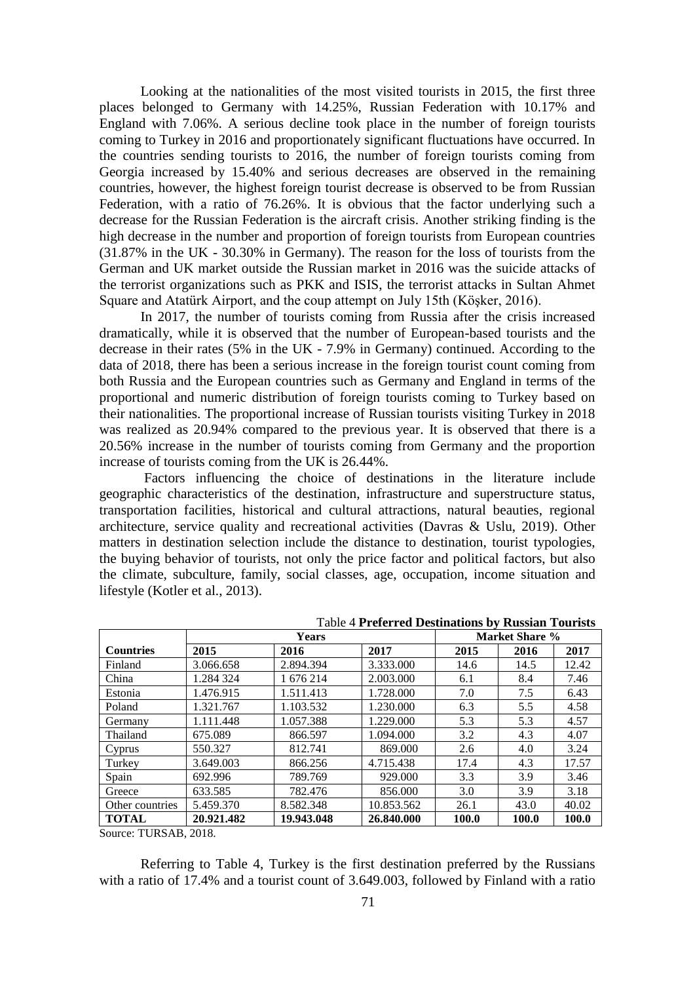Looking at the nationalities of the most visited tourists in 2015, the first three places belonged to Germany with 14.25%, Russian Federation with 10.17% and England with 7.06%. A serious decline took place in the number of foreign tourists coming to Turkey in 2016 and proportionately significant fluctuations have occurred. In the countries sending tourists to 2016, the number of foreign tourists coming from Georgia increased by 15.40% and serious decreases are observed in the remaining countries, however, the highest foreign tourist decrease is observed to be from Russian Federation, with a ratio of 76.26%. It is obvious that the factor underlying such a decrease for the Russian Federation is the aircraft crisis. Another striking finding is the high decrease in the number and proportion of foreign tourists from European countries (31.87% in the UK - 30.30% in Germany). The reason for the loss of tourists from the German and UK market outside the Russian market in 2016 was the suicide attacks of the terrorist organizations such as PKK and ISIS, the terrorist attacks in Sultan Ahmet Square and Atatürk Airport, and the coup attempt on July 15th (Köşker, 2016).

In 2017, the number of tourists coming from Russia after the crisis increased dramatically, while it is observed that the number of European-based tourists and the decrease in their rates (5% in the UK - 7.9% in Germany) continued. According to the data of 2018, there has been a serious increase in the foreign tourist count coming from both Russia and the European countries such as Germany and England in terms of the proportional and numeric distribution of foreign tourists coming to Turkey based on their nationalities. The proportional increase of Russian tourists visiting Turkey in 2018 was realized as 20.94% compared to the previous year. It is observed that there is a 20.56% increase in the number of tourists coming from Germany and the proportion increase of tourists coming from the UK is 26.44%.

Factors influencing the choice of destinations in the literature include geographic characteristics of the destination, infrastructure and superstructure status, transportation facilities, historical and cultural attractions, natural beauties, regional architecture, service quality and recreational activities (Davras & Uslu, 2019). Other matters in destination selection include the distance to destination, tourist typologies, the buying behavior of tourists, not only the price factor and political factors, but also the climate, subculture, family, social classes, age, occupation, income situation and lifestyle (Kotler et al., 2013).

|                  | Years      |            |            | Market Share % |       |       |  |
|------------------|------------|------------|------------|----------------|-------|-------|--|
| <b>Countries</b> | 2015       | 2016       | 2017       | 2015           | 2016  | 2017  |  |
| Finland          | 3.066.658  | 2.894.394  | 3.333.000  | 14.6           | 14.5  | 12.42 |  |
| China            | 1.284 324  | 1 676 214  | 2.003.000  | 6.1            | 8.4   | 7.46  |  |
| Estonia          | 1.476.915  | 1.511.413  | 1.728.000  | 7.0            | 7.5   | 6.43  |  |
| Poland           | 1.321.767  | 1.103.532  | 1.230.000  | 6.3            | 5.5   | 4.58  |  |
| Germany          | 1.111.448  | 1.057.388  | 1.229.000  | 5.3            | 5.3   | 4.57  |  |
| Thailand         | 675.089    | 866.597    | 1.094.000  | 3.2            | 4.3   | 4.07  |  |
| Cyprus           | 550.327    | 812.741    | 869.000    | 2.6            | 4.0   | 3.24  |  |
| Turkey           | 3.649.003  | 866.256    | 4.715.438  | 17.4           | 4.3   | 17.57 |  |
| Spain            | 692.996    | 789.769    | 929.000    | 3.3            | 3.9   | 3.46  |  |
| Greece           | 633.585    | 782.476    | 856.000    | 3.0            | 3.9   | 3.18  |  |
| Other countries  | 5.459.370  | 8.582.348  | 10.853.562 | 26.1           | 43.0  | 40.02 |  |
| <b>TOTAL</b>     | 20.921.482 | 19.943.048 | 26.840.000 | 100.0          | 100.0 | 100.0 |  |

Table 4 **Preferred Destinations by Russian Tourists**

Source: TURSAB, 2018.

Referring to Table 4, Turkey is the first destination preferred by the Russians with a ratio of 17.4% and a tourist count of 3.649.003, followed by Finland with a ratio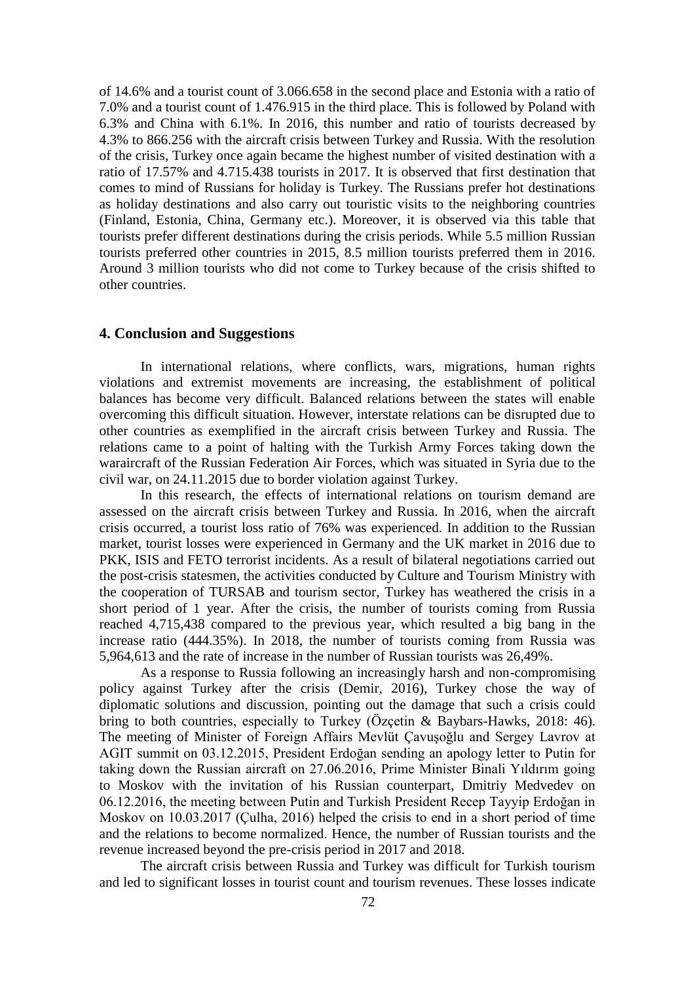of 14.6% and a tourist count of 3.066.658 in the second place and Estonia with a ratio of 7.0% and a tourist count of 1.476.915 in the third place. This is followed by Poland with 6.3% and China with 6.1%. In 2016, this number and ratio of tourists decreased by 4.3% to 866.256 with the aircraft crisis between Turkey and Russia. With the resolution of the crisis, Turkey once again became the highest number of visited destination with a ratio of 17.57% and 4.715.438 tourists in 2017. It is observed that first destination that comes to mind of Russians for holiday is Turkey. The Russians prefer hot destinations as holiday destinations and also carry out touristic visits to the neighboring countries (Finland, Estonia, China, Germany etc.). Moreover, it is observed via this table that tourists prefer different destinations during the crisis periods. While 5.5 million Russian tourists preferred other countries in 2015, 8.5 million tourists preferred them in 2016. Around 3 million tourists who did not come to Turkey because of the crisis shifted to other countries.

#### **4. Conclusion and Suggestions**

In international relations, where conflicts, wars, migrations, human rights violations and extremist movements are increasing, the establishment of political balances has become very difficult. Balanced relations between the states will enable overcoming this difficult situation. However, interstate relations can be disrupted due to other countries as exemplified in the aircraft crisis between Turkey and Russia. The relations came to a point of halting with the Turkish Army Forces taking down the waraircraft of the Russian Federation Air Forces, which was situated in Syria due to the civil war, on 24.11.2015 due to border violation against Turkey.

In this research, the effects of international relations on tourism demand are assessed on the aircraft crisis between Turkey and Russia. In 2016, when the aircraft crisis occurred, a tourist loss ratio of 76% was experienced. In addition to the Russian market, tourist losses were experienced in Germany and the UK market in 2016 due to PKK, ISIS and FETO terrorist incidents. As a result of bilateral negotiations carried out the post-crisis statesmen, the activities conducted by Culture and Tourism Ministry with the cooperation of TURSAB and tourism sector, Turkey has weathered the crisis in a short period of 1 year. After the crisis, the number of tourists coming from Russia reached 4,715,438 compared to the previous year, which resulted a big bang in the increase ratio (444.35%). In 2018, the number of tourists coming from Russia was 5,964,613 and the rate of increase in the number of Russian tourists was 26,49%.

As a response to Russia following an increasingly harsh and non-compromising policy against Turkey after the crisis (Demir, 2016), Turkey chose the way of diplomatic solutions and discussion, pointing out the damage that such a crisis could bring to both countries, especially to Turkey (Özçetin & Baybars-Hawks, 2018: 46). The meeting of Minister of Foreign Affairs Mevlüt Çavuşoğlu and Sergey Lavrov at AGIT summit on 03.12.2015, President Erdoğan sending an apology letter to Putin for taking down the Russian aircraft on 27.06.2016, Prime Minister Binali Yıldırım going to Moskov with the invitation of his Russian counterpart, Dmitriy Medvedev on 06.12.2016, the meeting between Putin and Turkish President Recep Tayyip Erdoğan in Moskov on 10.03.2017 (Çulha, 2016) helped the crisis to end in a short period of time and the relations to become normalized. Hence, the number of Russian tourists and the revenue increased beyond the pre-crisis period in 2017 and 2018.

The aircraft crisis between Russia and Turkey was difficult for Turkish tourism and led to significant losses in tourist count and tourism revenues. These losses indicate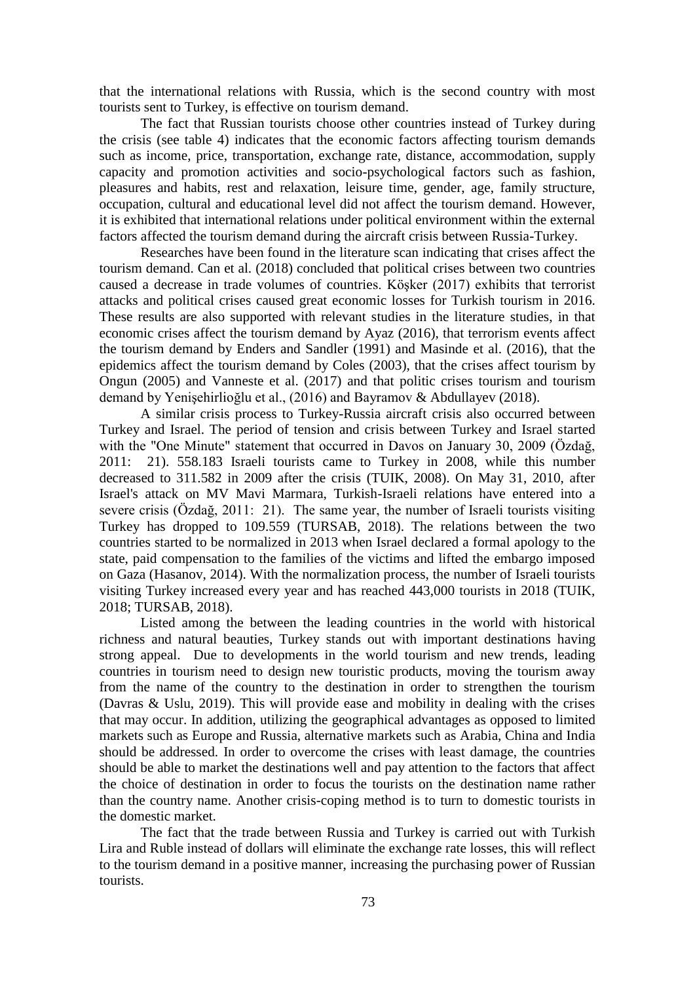that the international relations with Russia, which is the second country with most tourists sent to Turkey, is effective on tourism demand.

The fact that Russian tourists choose other countries instead of Turkey during the crisis (see table 4) indicates that the economic factors affecting tourism demands such as income, price, transportation, exchange rate, distance, accommodation, supply capacity and promotion activities and socio-psychological factors such as fashion, pleasures and habits, rest and relaxation, leisure time, gender, age, family structure, occupation, cultural and educational level did not affect the tourism demand. However, it is exhibited that international relations under political environment within the external factors affected the tourism demand during the aircraft crisis between Russia-Turkey.

Researches have been found in the literature scan indicating that crises affect the tourism demand. Can et al. (2018) concluded that political crises between two countries caused a decrease in trade volumes of countries. Köşker (2017) exhibits that terrorist attacks and political crises caused great economic losses for Turkish tourism in 2016. These results are also supported with relevant studies in the literature studies, in that economic crises affect the tourism demand by Ayaz (2016), that terrorism events affect the tourism demand by Enders and Sandler (1991) and Masinde et al. (2016), that the epidemics affect the tourism demand by Coles (2003), that the crises affect tourism by Ongun (2005) and Vanneste et al. (2017) and that politic crises tourism and tourism demand by Yenişehirlioğlu et al., (2016) and Bayramov & Abdullayev (2018).

A similar crisis process to Turkey-Russia aircraft crisis also occurred between Turkey and Israel. The period of tension and crisis between Turkey and Israel started with the "One Minute" statement that occurred in Davos on January 30, 2009 (Özdağ, 2011: 21). 558.183 Israeli tourists came to Turkey in 2008, while this number decreased to 311.582 in 2009 after the crisis (TUIK, 2008). On May 31, 2010, after Israel's attack on MV Mavi Marmara, Turkish-Israeli relations have entered into a severe crisis (Özdağ, 2011: 21). The same year, the number of Israeli tourists visiting Turkey has dropped to 109.559 (TURSAB, 2018). The relations between the two countries started to be normalized in 2013 when Israel declared a formal apology to the state, paid compensation to the families of the victims and lifted the embargo imposed on Gaza (Hasanov, 2014). With the normalization process, the number of Israeli tourists visiting Turkey increased every year and has reached 443,000 tourists in 2018 (TUIK, 2018; TURSAB, 2018).

Listed among the between the leading countries in the world with historical richness and natural beauties, Turkey stands out with important destinations having strong appeal. Due to developments in the world tourism and new trends, leading countries in tourism need to design new touristic products, moving the tourism away from the name of the country to the destination in order to strengthen the tourism (Davras & Uslu, 2019). This will provide ease and mobility in dealing with the crises that may occur. In addition, utilizing the geographical advantages as opposed to limited markets such as Europe and Russia, alternative markets such as Arabia, China and India should be addressed. In order to overcome the crises with least damage, the countries should be able to market the destinations well and pay attention to the factors that affect the choice of destination in order to focus the tourists on the destination name rather than the country name. Another crisis-coping method is to turn to domestic tourists in the domestic market.

The fact that the trade between Russia and Turkey is carried out with Turkish Lira and Ruble instead of dollars will eliminate the exchange rate losses, this will reflect to the tourism demand in a positive manner, increasing the purchasing power of Russian tourists.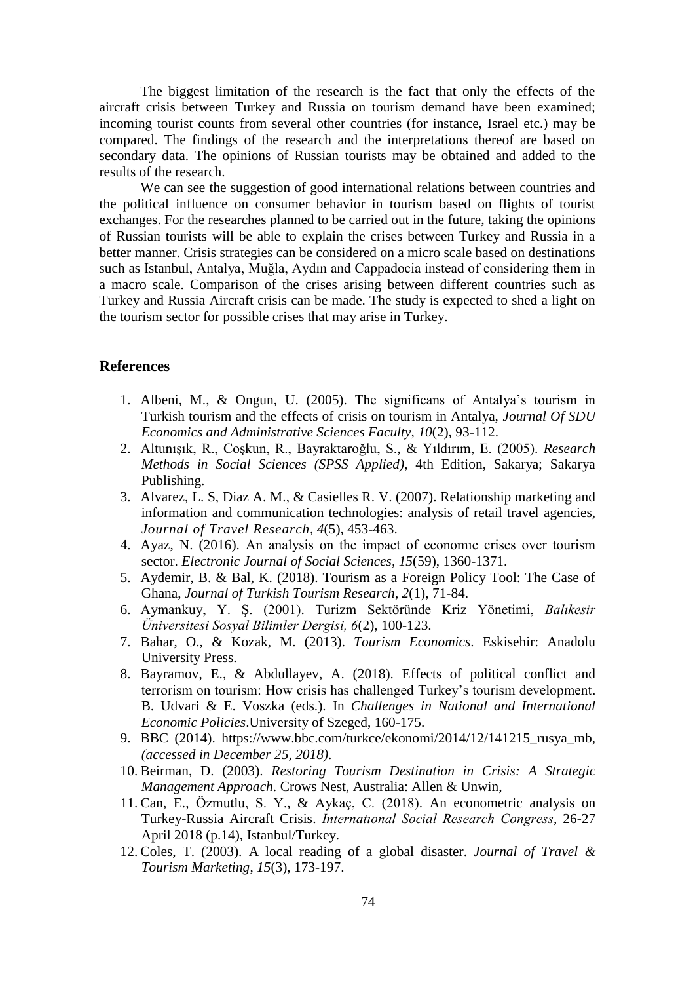The biggest limitation of the research is the fact that only the effects of the aircraft crisis between Turkey and Russia on tourism demand have been examined; incoming tourist counts from several other countries (for instance, Israel etc.) may be compared. The findings of the research and the interpretations thereof are based on secondary data. The opinions of Russian tourists may be obtained and added to the results of the research.

We can see the suggestion of good international relations between countries and the political influence on consumer behavior in tourism based on flights of tourist exchanges. For the researches planned to be carried out in the future, taking the opinions of Russian tourists will be able to explain the crises between Turkey and Russia in a better manner. Crisis strategies can be considered on a micro scale based on destinations such as Istanbul, Antalya, Muğla, Aydın and Cappadocia instead of considering them in a macro scale. Comparison of the crises arising between different countries such as Turkey and Russia Aircraft crisis can be made. The study is expected to shed a light on the tourism sector for possible crises that may arise in Turkey.

### **References**

- 1. Albeni, M., & Ongun, U. (2005). The significans of Antalya's tourism in Turkish tourism and the effects of crisis on tourism in Antalya, *Journal Of SDU Economics and Administrative Sciences Faculty, 10*(2), 93-112.
- 2. Altunışık, R., Coşkun, R., Bayraktaroğlu, S., & Yıldırım, E. (2005). *Research Methods in Social Sciences (SPSS Applied)*, 4th Edition, Sakarya; Sakarya Publishing.
- 3. Alvarez, L. S, Diaz A. M., & Casielles R. V. (2007). Relationship marketing and information and communication technologies: analysis of retail travel agencies, *Journal of Travel Research, 4*(5), 453-463.
- 4. Ayaz, N. (2016). An analysis on the impact of economıc crises over tourism sector. *Electronic Journal of Social Sciences, 15*(59), 1360-1371.
- 5. Aydemir, B. & Bal, K. (2018). Tourism as a Foreign Policy Tool: The Case of Ghana, *Journal of Turkish Tourism Research*, *2*(1), 71-84.
- 6. Aymankuy, Y. Ş. (2001). Turizm Sektöründe Kriz Yönetimi, *Balıkesir Üniversitesi Sosyal Bilimler Dergisi, 6*(2), 100-123.
- 7. Bahar, O., & Kozak, M. (2013). *Tourism Economics*. Eskisehir: Anadolu University Press.
- 8. Bayramov, E., & Abdullayev, A. (2018). Effects of political conflict and terrorism on tourism: How crisis has challenged Turkey's tourism development. B. Udvari & E. Voszka (eds.). In *Challenges in National and International Economic Policies*.University of Szeged, 160-175.
- 9. BBC (2014). https://www.bbc.com/turkce/ekonomi/2014/12/141215\_rusya\_mb, *(accessed in December 25, 2018)*.
- 10. Beirman, D. (2003). *Restoring Tourism Destination in Crisis: A Strategic Management Approach*. Crows Nest, Australia: Allen & Unwin,
- 11. Can, E., Özmutlu, S. Y., & Aykaç, C. (2018). An econometric analysis on Turkey-Russia Aircraft Crisis. *Internatıonal Social Research Congress*, 26-27 April 2018 (p.14), Istanbul/Turkey.
- 12. Coles, T. (2003). A local reading of a global disaster. *Journal of Travel & Tourism Marketing*, *15*(3), 173-197.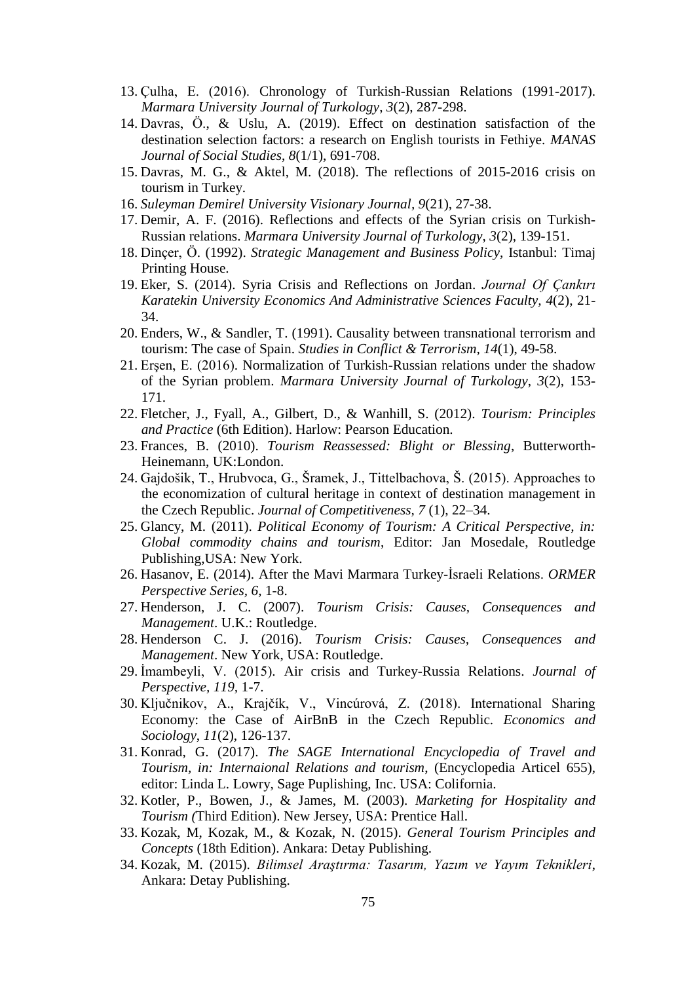- 13. Çulha, E. (2016). Chronology of Turkish-Russian Relations (1991-2017). *Marmara University Journal of Turkology*, *3*(2), 287-298.
- 14. Davras, Ö., & Uslu, A. (2019). Effect on destination satisfaction of the destination selection factors: a research on English tourists in Fethiye. *MANAS Journal of Social Studies*, *8*(1/1), 691-708.
- 15. Davras, M. G., & Aktel, M. (2018). The reflections of 2015-2016 crisis on tourism in Turkey.
- 16. *Suleyman Demirel University Visionary Journal, 9*(21), 27-38.
- 17. Demir, A. F. (2016). Reflections and effects of the Syrian crisis on Turkish-Russian relations. *Marmara University Journal of Turkology*, *3*(2), 139-151.
- 18. Dinçer, Ö. (1992). *Strategic Management and Business Policy*, Istanbul: Timaj Printing House.
- 19. Eker, S. (2014). Syria Crisis and Reflections on Jordan. *Journal Of Çankırı Karatekin University Economics And Administrative Sciences Faculty, 4*(2), 21- 34.
- 20. Enders, W., & Sandler, T. (1991). Causality between transnational terrorism and tourism: The case of Spain. *Studies in Conflict & Terrorism, 14*(1), 49-58.
- 21. Erşen, E. (2016). Normalization of Turkish-Russian relations under the shadow of the Syrian problem. *Marmara University Journal of Turkology*, *3*(2), 153- 171.
- 22. Fletcher, J., Fyall, A., Gilbert, D., & Wanhill, S. (2012). *Tourism: Principles and Practice* (6th Edition). Harlow: Pearson Education.
- 23. Frances, B. (2010). *Tourism Reassessed: Blight or Blessing*, Butterworth-Heinemann, UK:London.
- 24. Gajdošik, T., Hrubvoca, G., Šramek, J., Tittelbachova, Š. (2015). Approaches to the economization of cultural heritage in context of destination management in the Czech Republic. *Journal of Competitiveness, 7* (1), 22–34.
- 25. Glancy, M. (2011). *Political Economy of Tourism: A Critical Perspective, in: Global commodity chains and tourism*, Editor: Jan Mosedale, Routledge Publishing,USA: New York.
- 26. Hasanov, E. (2014). After the Mavi Marmara Turkey-İsraeli Relations. *ORMER Perspective Series, 6,* 1-8.
- 27. Henderson, J. C. (2007). *Tourism Crisis: Causes, Consequences and Management*. U.K.: [Routledge.](https://books.google.com.tr/url?client=ca-print-tandf_us-routledge&format=googleprint&num=0&id=il2TcBLnBgMC&q=http://www.routledge.com/9780750678346&usg=AFQjCNH79jS-OGQuUlSdEKcv3T8ALQSg9Q&source=gbs_buy_r)
- 28. Henderson C. J. (2016). *Tourism Crisis: Causes, Consequences and Management*. New York, USA: Routledge.
- 29. İmambeyli, V. (2015). Air crisis and Turkey-Russia Relations. *Journal of Perspective, 119,* 1-7.
- 30. Ključnikov, A., Krajčík, V., Vincúrová, Z. (2018). International Sharing Economy: the Case of AirBnB in the Czech Republic. *Economics and Sociology*, *11*(2), 126-137.
- 31. Konrad, G. (2017). *The SAGE International Encyclopedia of Travel and Tourism, in: Internaional Relations and tourism*, (Encyclopedia Articel 655), editor: Linda L. Lowry, Sage Puplishing, Inc. USA: Colifornia.
- 32. Kotler, P., Bowen, J., & James, M. (2003). *Marketing for Hospitality and Tourism (*Third Edition). New Jersey, USA: Prentice Hall.
- 33. Kozak, M, Kozak, M., & Kozak, N. (2015). *General Tourism Principles and Concepts* (18th Edition). Ankara: Detay Publishing.
- 34. Kozak, M. (2015). *Bilimsel Araştırma: Tasarım, Yazım ve Yayım Teknikleri*, Ankara: Detay Publishing.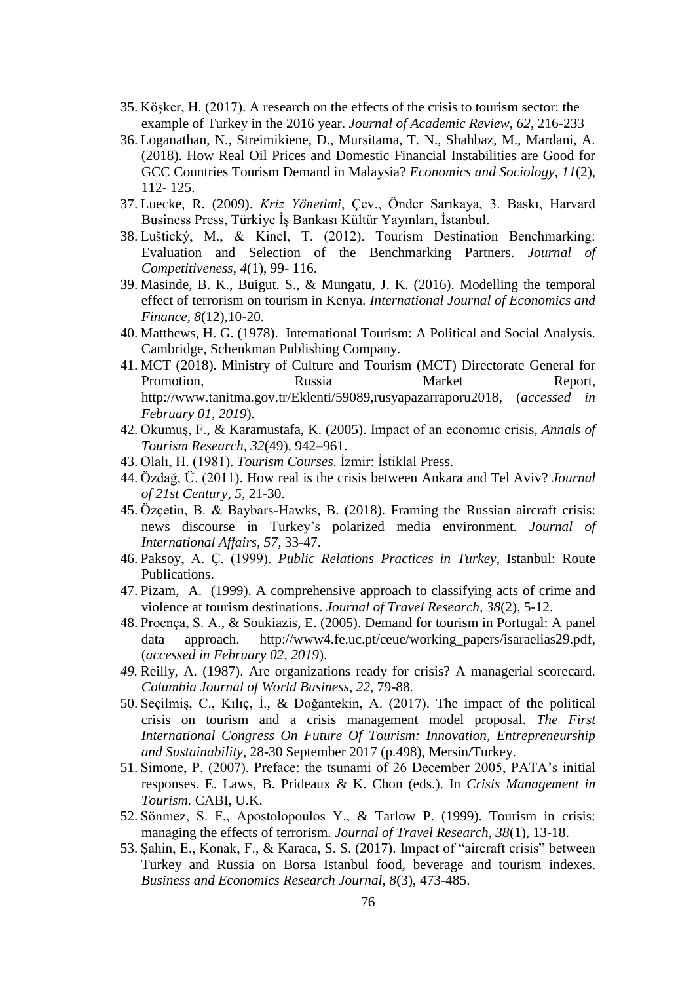- 35. Köşker, H. (2017). A research on the effects of the crisis to tourism sector: the example of Turkey in the 2016 year. *Journal of Academic Review, 62,* 216-233
- 36. Loganathan, N., Streimikiene, D., Mursitama, T. N., Shahbaz, M., Mardani, A. (2018). How Real Oil Prices and Domestic Financial Instabilities are Good for GCC Countries Tourism Demand in Malaysia? *Economics and Sociology, 11*(2), 112- 125.
- 37. Luecke, R. (2009). *Kriz Yönetimi*, Çev., Önder Sarıkaya, 3. Baskı, Harvard Business Press, Türkiye İş Bankası Kültür Yayınları, İstanbul.
- 38. Luštický, M., & Kincl, T. (2012). Tourism Destination Benchmarking: Evaluation and Selection of the Benchmarking Partners. *Journal of Competitiveness*, *4*(1), 99- 116.
- 39. Masinde, B. K., Buigut. S., & Mungatu, J. K. (2016). Modelling the temporal effect of terrorism on tourism in Kenya*. International Journal of Economics and Finance, 8*(12),10-20.
- 40. Matthews, H. G. (1978). International Tourism: A Political and Social Analysis. Cambridge, Schenkman Publishing Company.
- 41. MCT (2018). Ministry of Culture and Tourism (MCT) Directorate General for Promotion, Russia Market Report. [http://www.tanitma.gov.tr/Eklenti/59089,rusyapazarraporu2018,](http://www.tanitma.gov.tr/Eklenti/59089,rusyapazarraporu2018) (*accessed in February 01, 2019*).
- 42. Okumuş, F., & Karamustafa, K. (2005). Impact of an economıc crisis, *Annals of Tourism Research, 32*(49), 942–961.
- 43. Olalı, H. (1981). *Tourism Courses*. İzmir: İstiklal Press.
- 44. Özdağ, Ü. (2011). How real is the crisis between Ankara and Tel Aviv? *Journal of 21st Century, 5,* 21-30.
- 45. Özçetin, B. & Baybars-Hawks, B. (2018). Framing the Russian aircraft crisis: news discourse in Turkey's polarized media environment. *Journal of International Affairs, 57,* 33-47.
- 46. Paksoy, A. Ç. (1999). *Public Relations Practices in Turkey*, Istanbul: Route Publications.
- 47. Pizam, A. (1999). A comprehensive approach to classifying acts of crime and violence at tourism destinations. *Journal of Travel Research, 38*(2), 5-12.
- 48. Proença, S. A., & Soukiazis, E. (2005). Demand for tourism in Portugal: A panel data approach. [http://www4.fe.uc.pt/ceue/working\\_papers/isaraelias29.pdf,](http://www4.fe.uc.pt/ceue/working_papers/isaraelias29.pdf) (*accessed in February 02, 2019*).
- *49.* Reilly, A. (1987). Are organizations ready for crisis? A managerial scorecard. *Columbia Journal of World Business, 22,* 79-88.
- 50. Seçilmiş, C., Kılıç, İ., & Doğantekin, A. (2017). The impact of the political crisis on tourism and a crisis management model proposal. *The First International Congress On Future Of Tourism: Innovation, Entrepreneurship and Sustainability*, 28-30 September 2017 (p.498), Mersin/Turkey.
- 51. Simone, P. (2007). Preface: the tsunami of 26 December 2005, PATA's initial responses. E. Laws, B. Prideaux & K. Chon (eds.). In *Crisis Management in Tourism.* CABI, U.K.
- 52. Sönmez, S. F., Apostolopoulos Y., & Tarlow P. (1999). Tourism in crisis: managing the effects of terrorism. *Journal of Travel Research, 38*(1), 13-18.
- 53. Şahin, E., Konak, F., & Karaca, S. S. (2017). Impact of "aircraft crisis" between Turkey and Russia on Borsa Istanbul food, beverage and tourism indexes. *Business and Economics Research Journal, 8*(3), 473-485.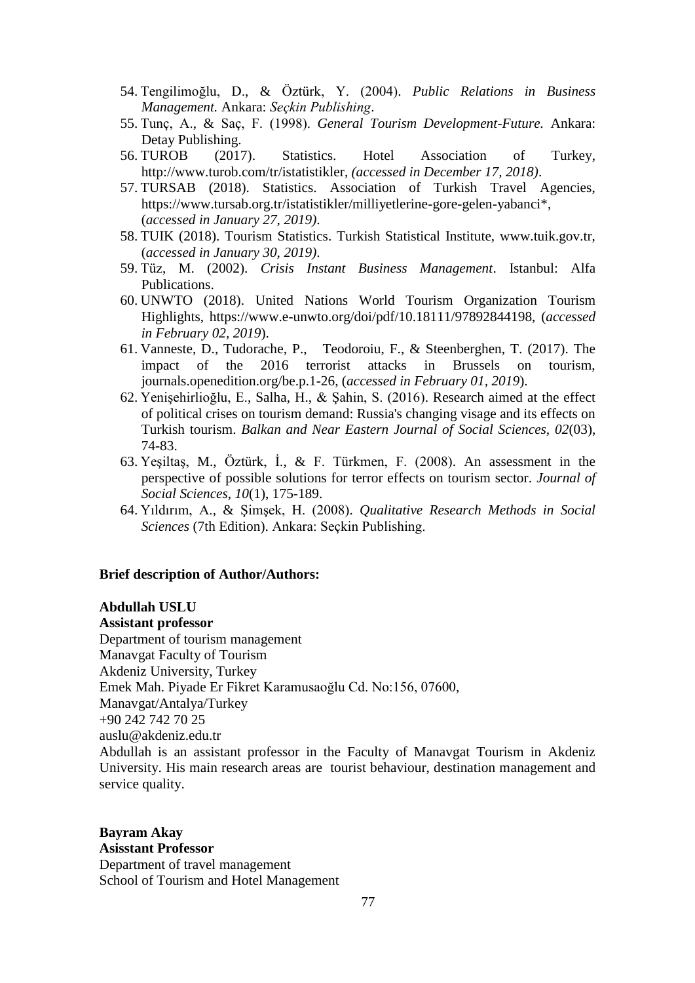- 54. Tengilimoğlu, D., & Öztürk, Y. (2004). *Public Relations in Business Management.* Ankara: *Seçkin Publishing*.
- 55. Tunç, A., & Saç, F. (1998). *General Tourism Development-Future.* Ankara: Detay Publishing.
- 56. TUROB (2017). Statistics. Hotel Association of Turkey, [http://www.turob.com/tr/istatistikler,](http://www.turob.com/tr/istatistikler) *(accessed in December 17, 2018)*.
- 57. TURSAB (2018). Statistics. Association of Turkish Travel Agencies, https://www.tursab.org.tr/istatistikler/milliyetlerine-gore-gelen-yabanci\*, (*accessed in January 27, 2019)*.
- 58. TUIK (2018). Tourism Statistics. Turkish Statistical Institute, www.tuik.gov.tr, (*accessed in January 30, 2019)*.
- 59. Tüz, M. (2002). *Crisis Instant Business Management*. Istanbul: Alfa Publications.
- 60. UNWTO (2018). United Nations World Tourism Organization Tourism Highlights, https://www.e-unwto.org/doi/pdf/10.18111/97892844198, (*accessed in February 02, 2019*).
- 61. Vanneste, D., Tudorache, P., Teodoroiu, F., & Steenberghen, T. (2017). The impact of the 2016 terrorist attacks in Brussels on tourism, journals.openedition.org/be.p.1-26, (*accessed in February 01, 2019*).
- 62. Yenişehirlioğlu, E., Salha, H., & Şahin, S. (2016). Research aimed at the effect of political crises on tourism demand: Russia's changing visage and its effects on Turkish tourism. *Balkan and Near Eastern Journal of Social Sciences, 02*(03), 74-83.
- 63. Yeşiltaş, M., Öztürk, İ., & F. Türkmen, F. (2008). An assessment in the perspective of possible solutions for terror effects on tourism sector. *Journal of Social Sciences*, *10*(1), 175-189.
- 64. Yıldırım, A., & Şimşek, H. (2008). *Qualitative Research Methods in Social Sciences* (7th Edition). Ankara: Seçkin Publishing.

### **Brief description of Author/Authors:**

# **Abdullah USLU**

#### **Assistant professor**

Department of tourism management Manavgat Faculty of Tourism Akdeniz University, Turkey Emek Mah. Piyade Er Fikret Karamusaoğlu Cd. No:156, 07600, Manavgat/Antalya/Turkey +90 242 742 70 25 auslu@akdeniz.edu.tr Abdullah is an assistant professor in the Faculty of Manavgat Tourism in Akdeniz University. His main research areas are tourist behaviour, destination management and

service quality.

## **Bayram Akay Asisstant Professor**  Department of travel management

School of Tourism and Hotel Management